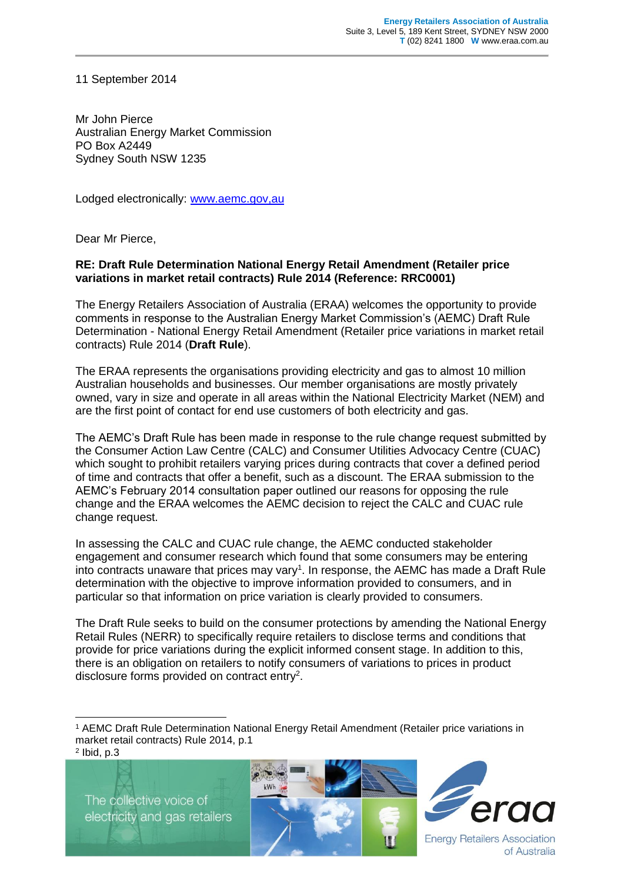11 September 2014

Mr John Pierce Australian Energy Market Commission PO Box A2449 Sydney South NSW 1235

Lodged electronically: [www.aemc.gov,au](http://www.aemc.gov,au/)

Dear Mr Pierce,

## **RE: Draft Rule Determination National Energy Retail Amendment (Retailer price variations in market retail contracts) Rule 2014 (Reference: RRC0001)**

The Energy Retailers Association of Australia (ERAA) welcomes the opportunity to provide comments in response to the Australian Energy Market Commission's (AEMC) Draft Rule Determination - National Energy Retail Amendment (Retailer price variations in market retail contracts) Rule 2014 (**Draft Rule**).

The ERAA represents the organisations providing electricity and gas to almost 10 million Australian households and businesses. Our member organisations are mostly privately owned, vary in size and operate in all areas within the National Electricity Market (NEM) and are the first point of contact for end use customers of both electricity and gas.

The AEMC's Draft Rule has been made in response to the rule change request submitted by the Consumer Action Law Centre (CALC) and Consumer Utilities Advocacy Centre (CUAC) which sought to prohibit retailers varying prices during contracts that cover a defined period of time and contracts that offer a benefit, such as a discount. The ERAA submission to the AEMC's February 2014 consultation paper outlined our reasons for opposing the rule change and the ERAA welcomes the AEMC decision to reject the CALC and CUAC rule change request.

In assessing the CALC and CUAC rule change, the AEMC conducted stakeholder engagement and consumer research which found that some consumers may be entering into contracts unaware that prices may vary<sup>1</sup>. In response, the AEMC has made a Draft Rule determination with the objective to improve information provided to consumers, and in particular so that information on price variation is clearly provided to consumers.

The Draft Rule seeks to build on the consumer protections by amending the National Energy Retail Rules (NERR) to specifically require retailers to disclose terms and conditions that provide for price variations during the explicit informed consent stage. In addition to this, there is an obligation on retailers to notify consumers of variations to prices in product disclosure forms provided on contract entry<sup>2</sup>.

 $<sup>2</sup>$  lbid, p.3</sup>

-

The collective voice of electricity and gas retailers





**Energy Retailers Association** of Australia

<sup>1</sup> AEMC Draft Rule Determination National Energy Retail Amendment (Retailer price variations in market retail contracts) Rule 2014, p.1